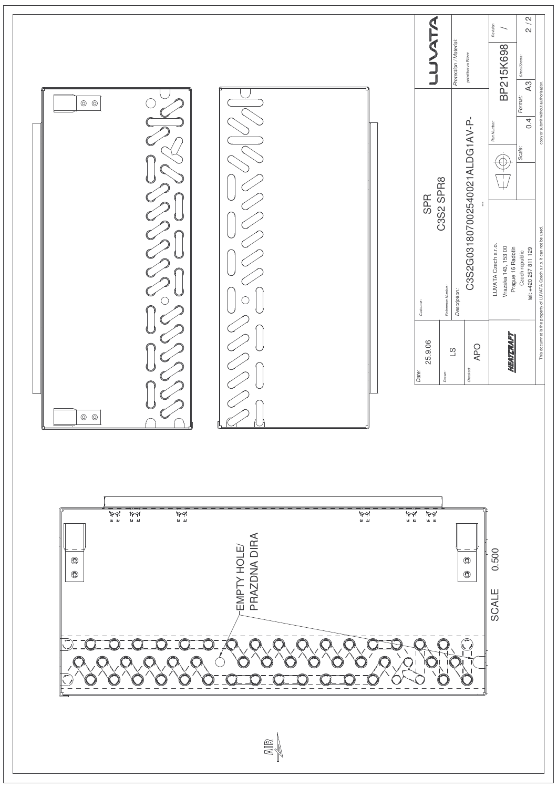